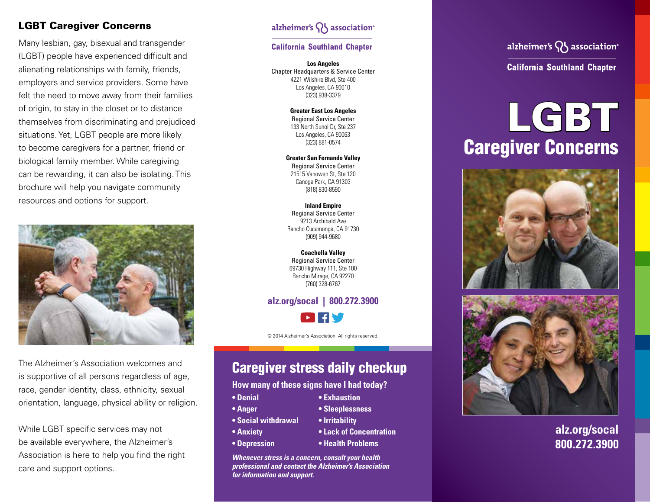#### LGBT Caregiver Concerns

Many lesbian, gay, bisexual and transgender (LGBT) people have experienced difficult and alienating relationships with family, friends, employers and service providers. Some have felt the need to move away from their families of origin, to stay in the closet or to distance themselves from discriminating and prejudiced situations. Yet, LGBT people are more likely to become caregivers for a partner, friend or biological family member. While caregiving can be rewarding, it can also be isolating. This brochure will help you navigate community resources and options for support.



The Alzheimer's Association welcomes and is supportive of all persons regardless of age, race, gender identity, class, ethnicity, sexual orientation, language, physical ability or religion.

While LGBT specific services may not be available everywhere, the Alzheimer's Association is here to help you find the right care and support options.

### alzheimer's  $\{ \}$  association<sup>®</sup>

#### **California Southland Chapter**

**Los Angeles** Chapter Headquarters & Service Center 4221 Wilshire Blvd, Ste 400 Los Angeles, CA 90010 (323) 938-3379

> **Greater East Los Angeles** Regional Service Center 133 North Sunol Dr, Ste 237 Los Angeles, CA 90063 (323) 881-0574

**Greater San Fernando Valley**  Regional Service Center 21515 Vanowen St, Ste 120 Canoga Park, CA 91303 (818) 830-8590

**Inland Empire** Regional Service Center 9213 Archibald Ave Rancho Cucamonga, CA 91730 (909) 944-9680

**Coachella Valley** Regional Service Center 69730 Highway 111, Ste 100 Rancho Mirage, CA 92270 (760) 328-6767

# **alz.org/socal | 800.272.3900**

© 2014 Alzheimer's Association. All rights reserved.

# Caregiver stress daily checkup

**How many of these signs have I had today?**

- **• Denial**
- **• Anger**
- **• Social withdrawal**
- **• Anxiety**
- **• Depression**
- **• Health Problems**

**• Lack of Concentration**

**• Exhaustion • Sleeplessness • Irritability**

*Whenever stress is a concern, consult your health professional and contact the Alzheimer's Association for information and support.*

## alzheimer's  $\bigcap$  association<sup>®</sup>

**California Southland Chapter** 

# LGBT Caregiver Concerns





### **alz.org/socal 800.272.3900**